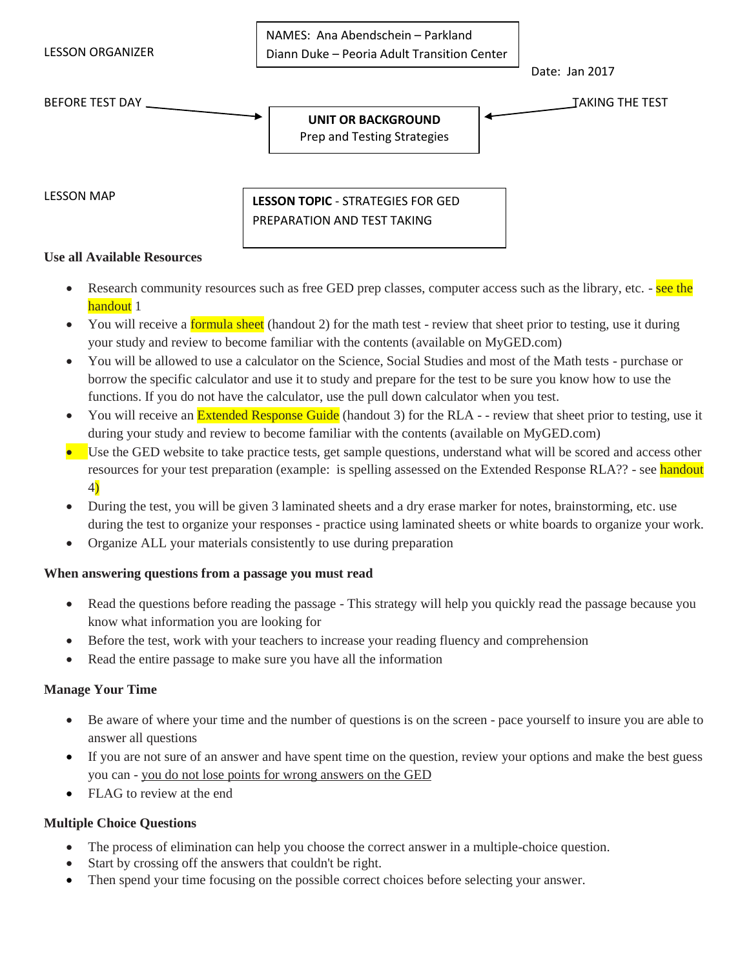LESSON ORGANIZER

NAMES: Ana Abendschein – Parkland Diann Duke – Peoria Adult Transition Center

BEFORE TEST DAY TAKING THE TEST

Date: Jan 2017

#### **UNIT OR BACKGROUND** Prep and Testing Strategies

LESSON MAP

**LESSON TOPIC** - STRATEGIES FOR GED PREPARATION AND TEST TAKING

#### **Use all Available Resources**

- Research community resources such as free GED prep classes, computer access such as the library, etc. see the handout 1
- You will receive a **formula sheet** (handout 2) for the math test review that sheet prior to testing, use it during your study and review to become familiar with the contents (available on MyGED.com)
- You will be allowed to use a calculator on the Science, Social Studies and most of the Math tests purchase or borrow the specific calculator and use it to study and prepare for the test to be sure you know how to use the functions. If you do not have the calculator, use the pull down calculator when you test.
- You will receive an **Extended Response Guide** (handout 3) for the RLA -- review that sheet prior to testing, use it during your study and review to become familiar with the contents (available on MyGED.com)
- Use the GED website to take practice tests, get sample questions, understand what will be scored and access other resources for your test preparation (example: is spelling assessed on the Extended Response RLA?? - see handout 4)
- During the test, you will be given 3 laminated sheets and a dry erase marker for notes, brainstorming, etc. use during the test to organize your responses - practice using laminated sheets or white boards to organize your work.
- Organize ALL your materials consistently to use during preparation

## **When answering questions from a passage you must read**

- Read the questions before reading the passage This strategy will help you quickly read the passage because you know what information you are looking for
- Before the test, work with your teachers to increase your reading fluency and comprehension
- Read the entire passage to make sure you have all the information

## **Manage Your Time**

- Be aware of where your time and the number of questions is on the screen pace yourself to insure you are able to answer all questions
- If you are not sure of an answer and have spent time on the question, review your options and make the best guess you can - you do not lose points for wrong answers on the GED
- FLAG to review at the end

## **Multiple Choice Questions**

- The process of elimination can help you choose the correct answer in a multiple-choice question.
- Start by crossing off the answers that couldn't be right.
- Then spend your time focusing on the possible correct choices before selecting your answer.